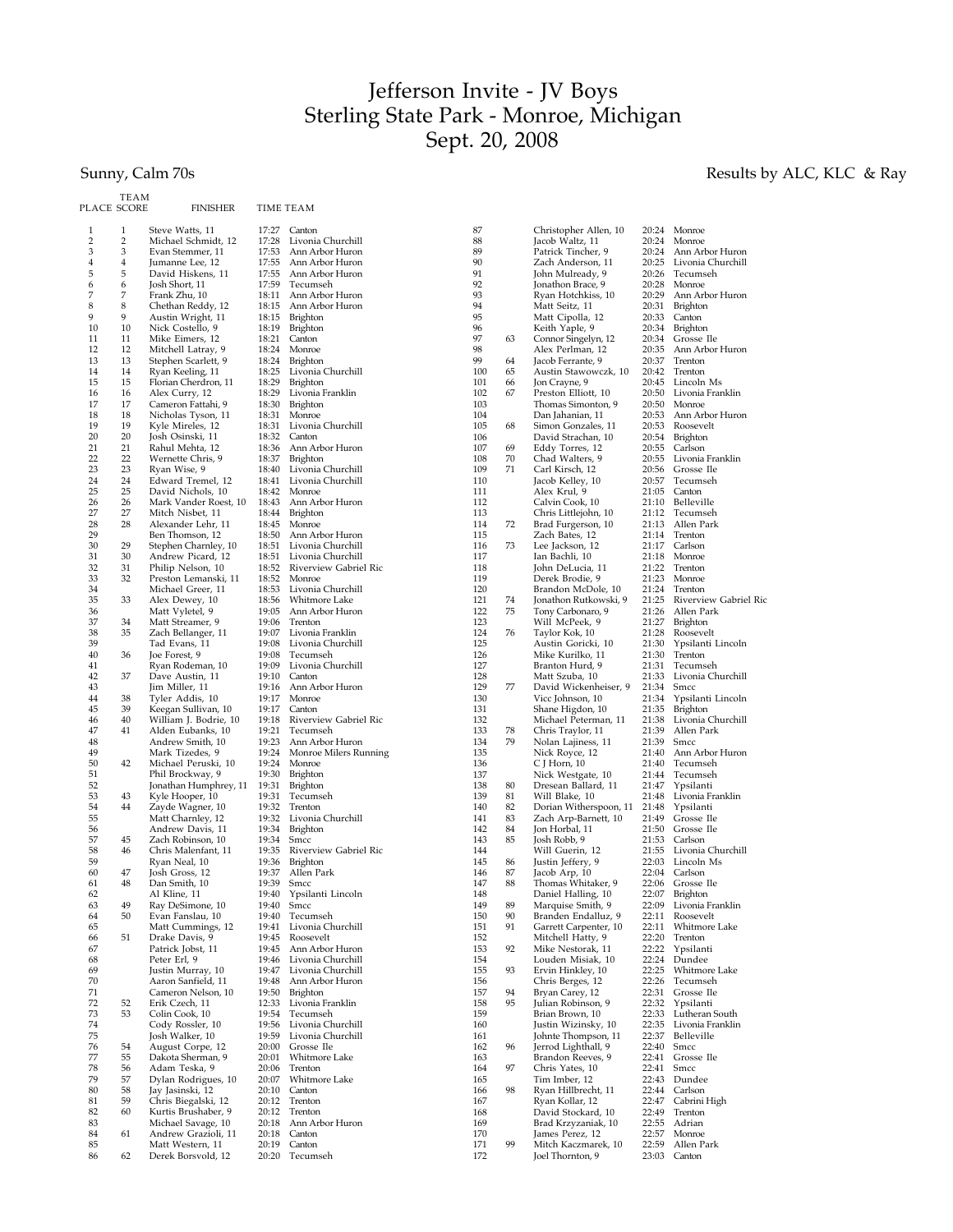## Jefferson Invite - JV Boys Sterling State Park - Monroe, Michigan Sept. 20, 2008

## Sunny, Calm 70s Results by ALC, KLC & Ray

| PLACE SCORE                   | <b>TEAM</b>                    | <b>FINISHER</b>                            |                | <b>TIME TEAM</b>                             |            |          |                                            |                |                                     |
|-------------------------------|--------------------------------|--------------------------------------------|----------------|----------------------------------------------|------------|----------|--------------------------------------------|----------------|-------------------------------------|
| 1<br>$\sqrt{2}$               | $\mathbf{1}$<br>$\overline{2}$ | Steve Watts, 11<br>Michael Schmidt, 12     | 17:27<br>17:28 | Canton<br>Livonia Churchill                  | 87<br>88   |          | Christopher Allen, 10<br>Jacob Waltz, 11   | 20:24<br>20:24 | Monroe<br>Monroe                    |
| 3                             | 3                              | Evan Stemmer, 11                           | 17:53          | Ann Arbor Huron                              | 89         |          | Patrick Tincher, 9                         | 20:24          | Ann Arbor Huron                     |
| $\bf{4}$                      | $\overline{4}$                 | Jumanne Lee, 12                            | 17:55          | Ann Arbor Huron                              | 90         |          | Zach Anderson, 11                          | 20:25          | Livonia Churchill                   |
| 5                             | 5                              | David Hiskens, 11                          | 17:55          | Ann Arbor Huron                              | 91         |          | John Mulready, 9                           | 20:26          | Tecumseh                            |
| 6<br>$\overline{\phantom{a}}$ | 6<br>7                         | Josh Short, 11<br>Frank Zhu, 10            | 17:59          | Tecumseh<br>18:11 Ann Arbor Huron            | 92<br>93   |          | Jonathon Brace, 9<br>Ryan Hotchkiss, 10    | 20:28<br>20:29 | Monroe<br>Ann Arbor Huron           |
| 8                             | 8                              | Chethan Reddy, 12                          | 18:15          | Ann Arbor Huron                              | 94         |          | Matt Seitz, 11                             | 20:31          | <b>Brighton</b>                     |
| 9                             | 9                              | Austin Wright, 11                          | 18:15          | <b>Brighton</b>                              | 95         |          | Matt Cipolla, 12                           | 20:33          | Canton                              |
| 10                            | 10                             | Nick Costello, 9                           | 18:19          | Brighton                                     | 96         |          | Keith Yaple, 9                             | 20:34          | <b>Brighton</b>                     |
| 11                            | 11                             | Mike Eimers, 12                            | 18:21          | Canton                                       | 97<br>98   | 63       | Connor Singelyn, 12                        | 20:34          | Grosse Ile                          |
| 12<br>13                      | 12<br>13                       | Mitchell Latray, 9<br>Stephen Scarlett, 9  | 18:24<br>18:24 | Monroe<br><b>Brighton</b>                    | 99         | 64       | Alex Perlman, 12<br>Jacob Ferrante, 9      | 20:35<br>20:37 | Ann Arbor Huron<br>Trenton          |
| 14                            | 14                             | Ryan Keeling, 11                           | 18:25          | Livonia Churchill                            | 100        | 65       | Austin Stawowczk, 10                       |                | 20:42 Trenton                       |
| 15                            | 15                             | Florian Cherdron, 11                       | 18:29          | Brighton                                     | 101        | 66       | Jon Crayne, 9                              | 20:45          | Lincoln Ms                          |
| 16                            | 16                             | Alex Curry, 12                             | 18:29          | Livonia Franklin                             | 102        | 67       | Preston Elliott, 10                        | 20:50          | Livonia Franklin                    |
| 17<br>18                      | 17<br>18                       | Cameron Fattahi, 9<br>Nicholas Tyson, 11   | 18:30<br>18:31 | <b>Brighton</b><br>Monroe                    | 103<br>104 |          | Thomas Simonton, 9<br>Dan Jahanian, 11     | 20:50<br>20:53 | Monroe<br>Ann Arbor Huron           |
| 19                            | 19                             | Kyle Mireles, 12                           |                | 18:31 Livonia Churchill                      | 105        | 68       | Simon Gonzales, 11                         | 20:53          | Roosevelt                           |
| 20                            | 20                             | Josh Osinski, 11                           | 18:32          | Canton                                       | 106        |          | David Strachan, 10                         | 20:54          | <b>Brighton</b>                     |
| 21                            | 21                             | Rahul Mehta, 12                            | 18:36          | Ann Arbor Huron                              | 107        | 69       | Eddy Torres, 12                            | 20:55          | Carlson                             |
| 22                            | 22                             | Wernette Chris, 9                          | 18:37          | <b>Brighton</b>                              | 108        | 70       | Chad Walters, 9                            | 20:55          | Livonia Franklin                    |
| 23<br>24                      | 23<br>24                       | Ryan Wise, 9<br>Edward Tremel, 12          | 18:41          | 18:40 Livonia Churchill<br>Livonia Churchill | 109<br>110 | 71       | Carl Kirsch, 12<br>Jacob Kelley, 10        | 20:56<br>20:57 | Grosse Ile<br>Tecumseh              |
| 25                            | 25                             | David Nichols, 10                          |                | 18:42 Monroe                                 | 111        |          | Alex Krul, 9                               | 21:05          | Canton                              |
| 26                            | 26                             | Mark Vander Roest, 10                      | 18:43          | Ann Arbor Huron                              | 112        |          | Calvin Cook, 10                            | 21:10          | Belleville                          |
| 27                            | 27                             | Mitch Nisbet, 11                           | 18:44          | <b>Brighton</b>                              | 113        |          | Chris Littlejohn, 10                       | 21:12          | Tecumseh                            |
| 28                            | 28                             | Alexander Lehr, 11                         | 18:45          | Monroe                                       | 114        | 72       | Brad Furgerson, 10                         |                | 21:13 Allen Park                    |
| 29<br>30                      | 29                             | Ben Thomson, 12<br>Stephen Charnley, 10    | 18:50<br>18:51 | Ann Arbor Huron<br>Livonia Churchill         | 115<br>116 | 73       | Zach Bates, 12<br>Lee Jackson, 12          | 21:17          | 21:14 Trenton<br>Carlson            |
| 31                            | 30                             | Andrew Picard, 12                          | 18:51          | Livonia Churchill                            | 117        |          | Ian Bachli, 10                             | 21:18          | Monroe                              |
| 32                            | 31                             | Philip Nelson, 10                          | 18:52          | Riverview Gabriel Ric                        | 118        |          | John DeLucia, 11                           | 21:22          | Trenton                             |
| 33                            | 32                             | Preston Lemanski, 11                       | 18:52          | Monroe                                       | 119        |          | Derek Brodie, 9                            | 21:23          | Monroe                              |
| 34                            |                                | Michael Greer, 11                          | 18:53          | Livonia Churchill                            | 120        |          | Brandon McDole, 10                         | 21:24          | Trenton                             |
| 35<br>36                      | 33                             | Alex Dewey, 10<br>Matt Vyletel, 9          | 18:56<br>19:05 | Whitmore Lake<br>Ann Arbor Huron             | 121<br>122 | 74<br>75 | Jonathon Rutkowski, 9<br>Tony Carbonaro, 9 | 21:25<br>21:26 | Riverview Gabriel Ric<br>Allen Park |
| 37                            | 34                             | Matt Streamer, 9                           | 19:06          | Trenton                                      | 123        |          | Will McPeek, 9                             | 21:27          | Brighton                            |
| 38                            | 35                             | Zach Bellanger, 11                         | 19:07          | Livonia Franklin                             | 124        | 76       | Taylor Kok, 10                             | 21:28          | Roosevelt                           |
| 39                            |                                | Tad Evans, 11                              | 19:08          | Livonia Churchill                            | 125        |          | Austin Goricki, 10                         | 21:30          | Ypsilanti Lincoln                   |
| 40<br>41                      | 36                             | Joe Forest, 9<br>Ryan Rodeman, 10          | 19:08<br>19:09 | Tecumseh<br>Livonia Churchill                | 126<br>127 |          | Mike Kurilko, 11<br>Branton Hurd, 9        | 21:30<br>21:31 | Trenton<br>Tecumseh                 |
| 42                            | 37                             | Dave Austin, 11                            | 19:10          | Canton                                       | 128        |          | Matt Szuba, 10                             | 21:33          | Livonia Churchill                   |
| 43                            |                                | Jim Miller, 11                             |                | 19:16 Ann Arbor Huron                        | 129        | 77       | David Wickenheiser, 9                      | 21:34          | Smcc                                |
| 44                            | 38                             | Tyler Addis, 10                            | 19:17          | Monroe                                       | 130        |          | Vicc Johnson, 10                           | 21:34          | Ypsilanti Lincoln                   |
| 45                            | 39                             | Keegan Sullivan, 10                        | 19:17          | Canton                                       | 131        |          | Shane Higdon, 10                           | 21:35          | Brighton                            |
| 46<br>47                      | 40<br>41                       | William J. Bodrie, 10<br>Alden Eubanks, 10 | 19:21          | 19:18 Riverview Gabriel Ric<br>Tecumseh      | 132<br>133 | 78       | Michael Peterman, 11<br>Chris Traylor, 11  | 21:38<br>21:39 | Livonia Churchill<br>Allen Park     |
| 48                            |                                | Andrew Smith, 10                           | 19:23          | Ann Arbor Huron                              | 134        | 79       | Nolan Lajiness, 11                         | 21:39          | Smcc                                |
| 49                            |                                | Mark Tizedes, 9                            |                | 19:24 Monroe Milers Running                  | 135        |          | Nick Royce, 12                             | 21:40          | Ann Arbor Huron                     |
| 50                            | 42                             | Michael Peruski, 10                        | 19:24          | Monroe                                       | 136        |          | C J Horn, 10                               | 21:40          | Tecumseh                            |
| 51<br>52                      |                                | Phil Brockway, 9                           | 19:30<br>19:31 | <b>Brighton</b><br><b>Brighton</b>           | 137<br>138 | 80       | Nick Westgate, 10<br>Dresean Ballard, 11   | 21:44<br>21:47 | Tecumseh<br>Ypsilanti               |
| 53                            | 43                             | Jonathan Humphrey, 11<br>Kyle Hooper, 10   | 19:31          | Tecumseh                                     | 139        | 81       | Will Blake, 10                             | 21:48          | Livonia Franklin                    |
| 54                            | 44                             | Zayde Wagner, 10                           | 19:32          | Trenton                                      | 140        | 82       | Dorian Witherspoon, 11 21:48               |                | Ypsilanti                           |
| 55                            |                                | Matt Charnley, 12                          | 19:32          | Livonia Churchill                            | 141        | 83       | Zach Arp-Barnett, 10                       | 21:49          | Grosse Ile                          |
| 56                            |                                | Andrew Davis, 11                           | 19:34          | <b>Brighton</b>                              | 142        | 84       | Jon Horbal, 11                             | 21:50          | Grosse Ile                          |
| 57<br>58                      | 45<br>46                       | Zach Robinson, 10<br>Chris Malenfant, 11   | 19:34<br>19:35 | Smcc<br>Riverview Gabriel Ric                | 143<br>144 | 85       | Josh Robb, 9<br>Will Guerin, 12            | 21:53<br>21:55 | Carlson<br>Livonia Churchill        |
| 59                            |                                | Ryan Neal, 10                              | 19:36          | <b>Brighton</b>                              | 145        | 86       | Justin Jeffery, 9                          |                | 22:03 Lincoln Ms                    |
| 60                            | 47                             | Josh Gross, 12                             |                | 19:37 Allen Park                             | 146        | 87       | Jacob Arp, 10                              |                | 22:04 Carlson                       |
| 61                            | 48                             | Dan Smith, 10                              | 19:39 Smcc     |                                              | 147        | 88       | Thomas Whitaker, 9                         |                | 22:06 Grosse Ile                    |
| 62<br>63                      | 49                             | Al Kline, 11<br>Ray DeSimone, 10           | 19:40<br>19:40 | Ypsilanti Lincoln<br>Smcc                    | 148<br>149 | 89       | Daniel Halling, 10<br>Marquise Smith, 9    | 22:07<br>22:09 | Brighton<br>Livonia Franklin        |
| 64                            | 50                             | Evan Fanslau, 10                           | 19:40          | Tecumseh                                     | 150        | 90       | Branden Endalluz, 9                        | 22:11          | Roosevelt                           |
| 65                            |                                | Matt Cummings, 12                          | 19:41          | Livonia Churchill                            | 151        | 91       | Garrett Carpenter, 10                      | 22:11          | Whitmore Lake                       |
| 66                            | 51                             | Drake Davis, 9                             | 19:45          | Roosevelt                                    | 152        |          | Mitchell Hatty, 9                          | 22:20          | Trenton                             |
| 67                            |                                | Patrick Jobst, 11                          | 19:45          | Ann Arbor Huron                              | 153        | 92       | Mike Nestorak, 11                          | 22:22          | Ypsilanti                           |
| 68<br>69                      |                                | Peter Erl, 9<br>Justin Murray, 10          | 19:46<br>19:47 | Livonia Churchill<br>Livonia Churchill       | 154<br>155 | 93       | Louden Misiak, 10<br>Ervin Hinkley, 10     | 22:24<br>22:25 | Dundee<br>Whitmore Lake             |
| 70                            |                                | Aaron Sanfield, 11                         | 19:48          | Ann Arbor Huron                              | 156        |          | Chris Berges, 12                           | 22:26          | Tecumseh                            |
| 71                            |                                | Cameron Nelson, 10                         | 19:50          | Brighton                                     | 157        | 94       | Bryan Carey, 12                            | 22:31          | Grosse Ile                          |
| 72                            | 52                             | Erik Czech, 11                             | 12:33          | Livonia Franklin                             | 158        | 95       | Julian Robinson, 9                         | 22:32          | Ypsilanti                           |
| 73<br>74                      | 53                             | Colin Cook, 10<br>Cody Rossler, 10         | 19:54<br>19:56 | Tecumseh                                     | 159        |          | Brian Brown, 10<br>Justin Wizinsky, 10     | 22:33<br>22:35 | Lutheran South<br>Livonia Franklin  |
| 75                            |                                | Josh Walker, 10                            | 19:59          | Livonia Churchill<br>Livonia Churchill       | 160<br>161 |          | Johnte Thompson, 11                        | 22:37          | Belleville                          |
| 76                            | 54                             | August Corpe, 12                           | 20:00          | Grosse Ile                                   | 162        | 96       | Jerrod Lighthall, 9                        | 22:40          | Smcc                                |
| 77                            | 55                             | Dakota Sherman, 9                          | 20:01          | Whitmore Lake                                | 163        |          | Brandon Reeves, 9                          | 22:41          | Grosse Ile                          |
| 78                            | 56                             | Adam Teska, 9                              | 20:06          | Trenton                                      | 164        | 97       | Chris Yates, 10                            | 22:41          | <b>Smcc</b>                         |
| 79<br>80                      | 57<br>58                       | Dylan Rodrigues, 10<br>Jay Jasinski, 12    | 20:07          | Whitmore Lake<br>20:10 Canton                | 165        | 98       | Tim Imber, 12<br>Ryan Hillbrecht, 11       | 22:43<br>22:44 | Dundee<br>Carlson                   |
| 81                            | 59                             | Chris Biegalski, 12                        |                | 20:12 Trenton                                | 166<br>167 |          | Ryan Kollar, 12                            | 22:47          | Cabrini High                        |
| 82                            | 60                             | Kurtis Brushaber, 9                        | 20:12          | Trenton                                      | 168        |          | David Stockard, 10                         | 22:49          | Trenton                             |
| 83                            |                                | Michael Savage, 10                         | 20:18          | Ann Arbor Huron                              | 169        |          | Brad Krzyzaniak, 10                        | 22:55          | Adrian                              |
| 84<br>85                      | 61                             | Andrew Grazioli, 11<br>Matt Western, 11    | 20:18          | Canton                                       | 170        | 99       | James Perez, 12<br>Mitch Kaczmarek, 10     | 22:57<br>22:59 | Monroe                              |
| 86                            | 62                             | Derek Borsvold, 12                         | 20:19<br>20:20 | Canton<br>Tecumseh                           | 171<br>172 |          | Joel Thornton, 9                           | 23:03          | Allen Park<br>Canton                |
|                               |                                |                                            |                |                                              |            |          |                                            |                |                                     |